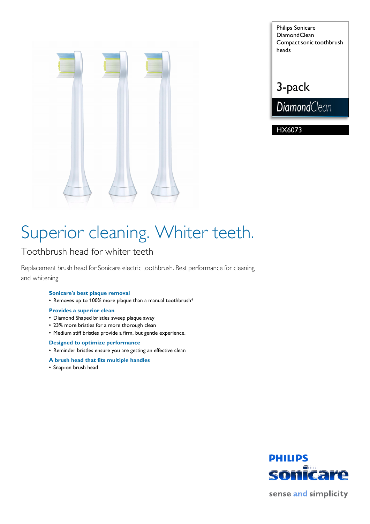

Philips Sonicare **DiamondClean** Compact sonic toothbrush heads

## 3-pack

**DiamondClean** 

HX6073

# Superior cleaning. Whiter teeth.

## Toothbrush head for whiter teeth

Replacement brush head for Sonicare electric toothbrush. Best performance for cleaning and whitening

### **Sonicare's best plaque removal**

• Removes up to 100% more plaque than a manual toothbrush\*

### **Provides a superior clean**

- Diamond Shaped bristles sweep plaque away
- 23% more bristles for a more thorough clean
- Medium stiff bristles provide a firm, but gentle experience.

### **Designed to optimize performance**

- Reminder bristles ensure you are getting an effective clean
- **A brush head that fits multiple handles**
- Snap-on brush head



sense and simplicity